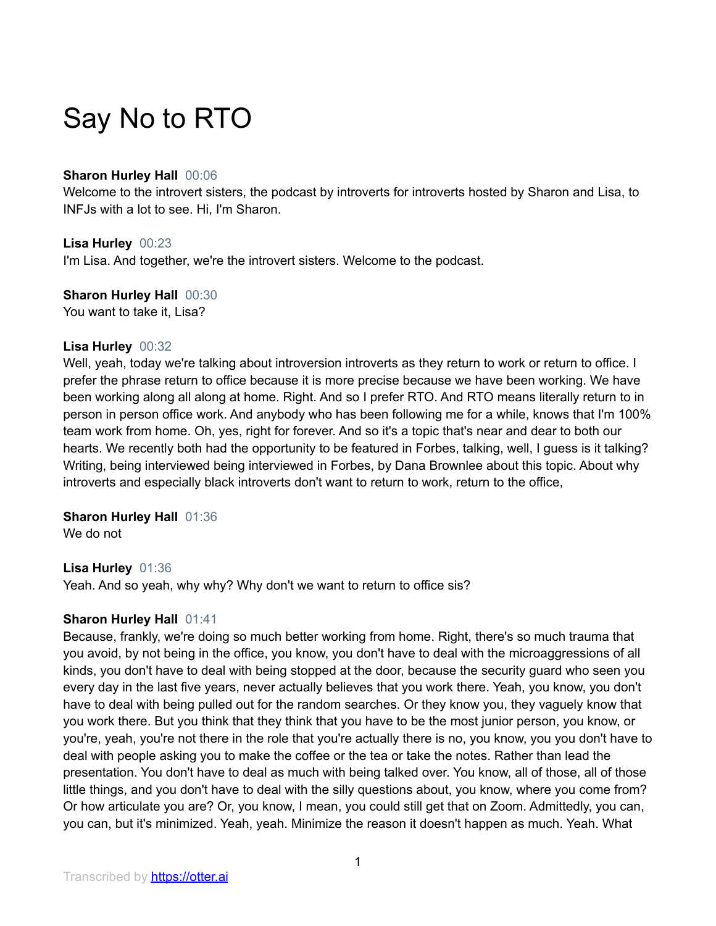# Say No to RTO

## **Sharon Hurley Hall** 00:06

Welcome to the introvert sisters, the podcast by introverts for introverts hosted by Sharon and Lisa, to INFJs with a lot to see. Hi, I'm Sharon.

**Lisa Hurley** 00:23

I'm Lisa. And together, we're the introvert sisters. Welcome to the podcast.

**Sharon Hurley Hall** 00:30

You want to take it, Lisa?

## **Lisa Hurley** 00:32

Well, yeah, today we're talking about introversion introverts as they return to work or return to office. I prefer the phrase return to office because it is more precise because we have been working. We have been working along all along at home. Right. And so I prefer RTO. And RTO means literally return to in person in person office work. And anybody who has been following me for a while, knows that I'm 100% team work from home. Oh, yes, right for forever. And so it's a topic that's near and dear to both our hearts. We recently both had the opportunity to be featured in Forbes, talking, well, I guess is it talking? Writing, being interviewed being interviewed in Forbes, by Dana Brownlee about this topic. About why introverts and especially black introverts don't want to return to work, return to the office,

## **Sharon Hurley Hall** 01:36

We do not

## **Lisa Hurley** 01:36

Yeah. And so yeah, why why? Why don't we want to return to office sis?

## **Sharon Hurley Hall** 01:41

Because, frankly, we're doing so much better working from home. Right, there's so much trauma that you avoid, by not being in the office, you know, you don't have to deal with the microaggressions of all kinds, you don't have to deal with being stopped at the door, because the security guard who seen you every day in the last five years, never actually believes that you work there. Yeah, you know, you don't have to deal with being pulled out for the random searches. Or they know you, they vaguely know that you work there. But you think that they think that you have to be the most junior person, you know, or you're, yeah, you're not there in the role that you're actually there is no, you know, you you don't have to deal with people asking you to make the coffee or the tea or take the notes. Rather than lead the presentation. You don't have to deal as much with being talked over. You know, all of those, all of those little things, and you don't have to deal with the silly questions about, you know, where you come from? Or how articulate you are? Or, you know, I mean, you could still get that on Zoom. Admittedly, you can, you can, but it's minimized. Yeah, yeah. Minimize the reason it doesn't happen as much. Yeah. What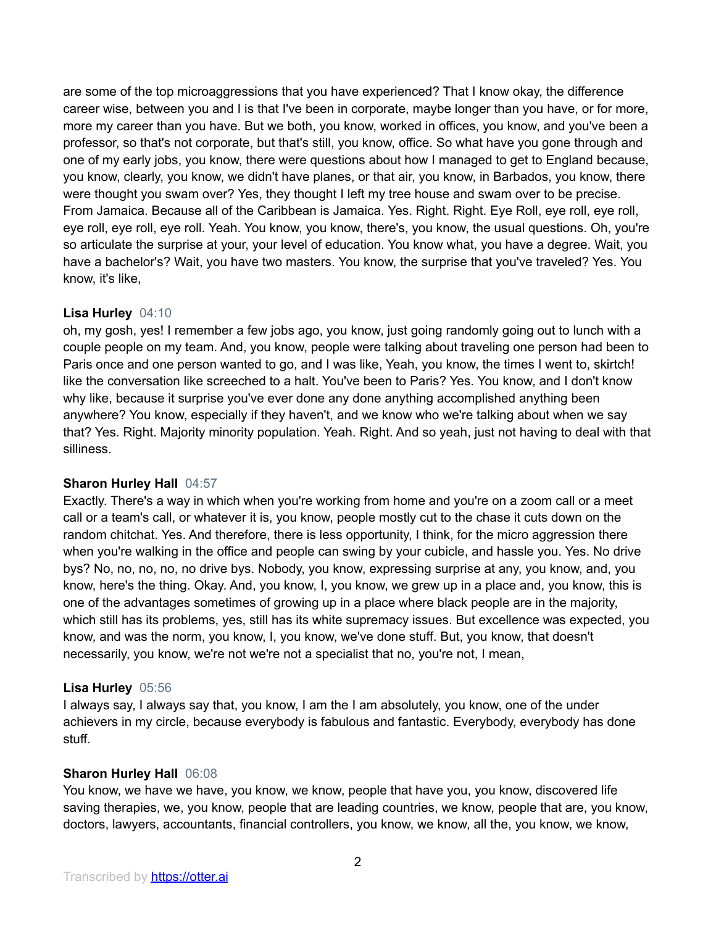are some of the top microaggressions that you have experienced? That I know okay, the difference career wise, between you and I is that I've been in corporate, maybe longer than you have, or for more, more my career than you have. But we both, you know, worked in offices, you know, and you've been a professor, so that's not corporate, but that's still, you know, office. So what have you gone through and one of my early jobs, you know, there were questions about how I managed to get to England because, you know, clearly, you know, we didn't have planes, or that air, you know, in Barbados, you know, there were thought you swam over? Yes, they thought I left my tree house and swam over to be precise. From Jamaica. Because all of the Caribbean is Jamaica. Yes. Right. Right. Eye Roll, eye roll, eye roll, eye roll, eye roll, eye roll. Yeah. You know, you know, there's, you know, the usual questions. Oh, you're so articulate the surprise at your, your level of education. You know what, you have a degree. Wait, you have a bachelor's? Wait, you have two masters. You know, the surprise that you've traveled? Yes. You know, it's like,

## **Lisa Hurley** 04:10

oh, my gosh, yes! I remember a few jobs ago, you know, just going randomly going out to lunch with a couple people on my team. And, you know, people were talking about traveling one person had been to Paris once and one person wanted to go, and I was like, Yeah, you know, the times I went to, skirtch! like the conversation like screeched to a halt. You've been to Paris? Yes. You know, and I don't know why like, because it surprise you've ever done any done anything accomplished anything been anywhere? You know, especially if they haven't, and we know who we're talking about when we say that? Yes. Right. Majority minority population. Yeah. Right. And so yeah, just not having to deal with that silliness.

#### **Sharon Hurley Hall** 04:57

Exactly. There's a way in which when you're working from home and you're on a zoom call or a meet call or a team's call, or whatever it is, you know, people mostly cut to the chase it cuts down on the random chitchat. Yes. And therefore, there is less opportunity, I think, for the micro aggression there when you're walking in the office and people can swing by your cubicle, and hassle you. Yes. No drive bys? No, no, no, no, no drive bys. Nobody, you know, expressing surprise at any, you know, and, you know, here's the thing. Okay. And, you know, I, you know, we grew up in a place and, you know, this is one of the advantages sometimes of growing up in a place where black people are in the majority, which still has its problems, yes, still has its white supremacy issues. But excellence was expected, you know, and was the norm, you know, I, you know, we've done stuff. But, you know, that doesn't necessarily, you know, we're not we're not a specialist that no, you're not, I mean,

## **Lisa Hurley** 05:56

I always say, I always say that, you know, I am the I am absolutely, you know, one of the under achievers in my circle, because everybody is fabulous and fantastic. Everybody, everybody has done stuff.

#### **Sharon Hurley Hall** 06:08

You know, we have we have, you know, we know, people that have you, you know, discovered life saving therapies, we, you know, people that are leading countries, we know, people that are, you know, doctors, lawyers, accountants, financial controllers, you know, we know, all the, you know, we know,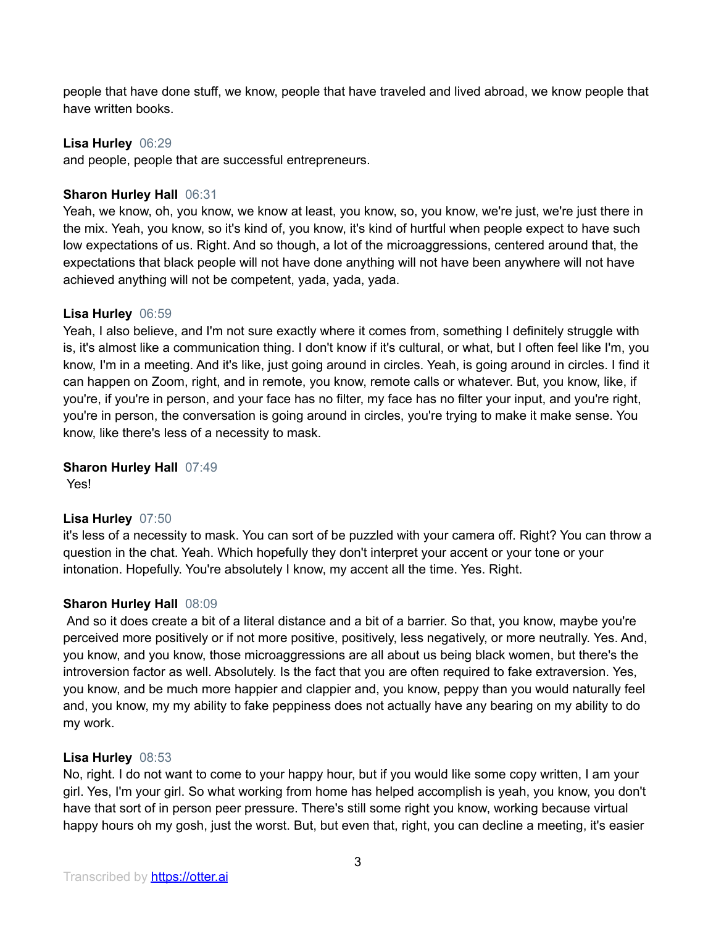people that have done stuff, we know, people that have traveled and lived abroad, we know people that have written books.

## **Lisa Hurley** 06:29

and people, people that are successful entrepreneurs.

## **Sharon Hurley Hall** 06:31

Yeah, we know, oh, you know, we know at least, you know, so, you know, we're just, we're just there in the mix. Yeah, you know, so it's kind of, you know, it's kind of hurtful when people expect to have such low expectations of us. Right. And so though, a lot of the microaggressions, centered around that, the expectations that black people will not have done anything will not have been anywhere will not have achieved anything will not be competent, yada, yada, yada.

## **Lisa Hurley** 06:59

Yeah, I also believe, and I'm not sure exactly where it comes from, something I definitely struggle with is, it's almost like a communication thing. I don't know if it's cultural, or what, but I often feel like I'm, you know, I'm in a meeting. And it's like, just going around in circles. Yeah, is going around in circles. I find it can happen on Zoom, right, and in remote, you know, remote calls or whatever. But, you know, like, if you're, if you're in person, and your face has no filter, my face has no filter your input, and you're right, you're in person, the conversation is going around in circles, you're trying to make it make sense. You know, like there's less of a necessity to mask.

## **Sharon Hurley Hall** 07:49

Yes!

## **Lisa Hurley** 07:50

it's less of a necessity to mask. You can sort of be puzzled with your camera off. Right? You can throw a question in the chat. Yeah. Which hopefully they don't interpret your accent or your tone or your intonation. Hopefully. You're absolutely I know, my accent all the time. Yes. Right.

## **Sharon Hurley Hall** 08:09

And so it does create a bit of a literal distance and a bit of a barrier. So that, you know, maybe you're perceived more positively or if not more positive, positively, less negatively, or more neutrally. Yes. And, you know, and you know, those microaggressions are all about us being black women, but there's the introversion factor as well. Absolutely. Is the fact that you are often required to fake extraversion. Yes, you know, and be much more happier and clappier and, you know, peppy than you would naturally feel and, you know, my my ability to fake peppiness does not actually have any bearing on my ability to do my work.

#### **Lisa Hurley** 08:53

No, right. I do not want to come to your happy hour, but if you would like some copy written, I am your girl. Yes, I'm your girl. So what working from home has helped accomplish is yeah, you know, you don't have that sort of in person peer pressure. There's still some right you know, working because virtual happy hours oh my gosh, just the worst. But, but even that, right, you can decline a meeting, it's easier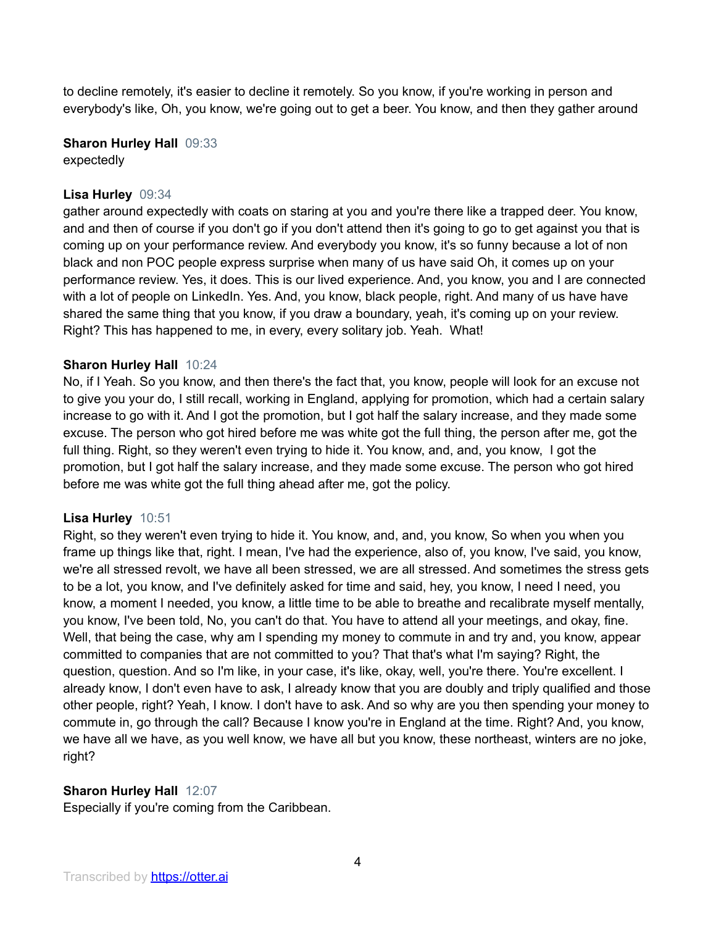to decline remotely, it's easier to decline it remotely. So you know, if you're working in person and everybody's like, Oh, you know, we're going out to get a beer. You know, and then they gather around

**Sharon Hurley Hall** 09:33 expectedly

## **Lisa Hurley** 09:34

gather around expectedly with coats on staring at you and you're there like a trapped deer. You know, and and then of course if you don't go if you don't attend then it's going to go to get against you that is coming up on your performance review. And everybody you know, it's so funny because a lot of non black and non POC people express surprise when many of us have said Oh, it comes up on your performance review. Yes, it does. This is our lived experience. And, you know, you and I are connected with a lot of people on LinkedIn. Yes. And, you know, black people, right. And many of us have have shared the same thing that you know, if you draw a boundary, yeah, it's coming up on your review. Right? This has happened to me, in every, every solitary job. Yeah. What!

## **Sharon Hurley Hall** 10:24

No, if I Yeah. So you know, and then there's the fact that, you know, people will look for an excuse not to give you your do, I still recall, working in England, applying for promotion, which had a certain salary increase to go with it. And I got the promotion, but I got half the salary increase, and they made some excuse. The person who got hired before me was white got the full thing, the person after me, got the full thing. Right, so they weren't even trying to hide it. You know, and, and, you know, I got the promotion, but I got half the salary increase, and they made some excuse. The person who got hired before me was white got the full thing ahead after me, got the policy.

#### **Lisa Hurley** 10:51

Right, so they weren't even trying to hide it. You know, and, and, you know, So when you when you frame up things like that, right. I mean, I've had the experience, also of, you know, I've said, you know, we're all stressed revolt, we have all been stressed, we are all stressed. And sometimes the stress gets to be a lot, you know, and I've definitely asked for time and said, hey, you know, I need I need, you know, a moment I needed, you know, a little time to be able to breathe and recalibrate myself mentally, you know, I've been told, No, you can't do that. You have to attend all your meetings, and okay, fine. Well, that being the case, why am I spending my money to commute in and try and, you know, appear committed to companies that are not committed to you? That that's what I'm saying? Right, the question, question. And so I'm like, in your case, it's like, okay, well, you're there. You're excellent. I already know, I don't even have to ask, I already know that you are doubly and triply qualified and those other people, right? Yeah, I know. I don't have to ask. And so why are you then spending your money to commute in, go through the call? Because I know you're in England at the time. Right? And, you know, we have all we have, as you well know, we have all but you know, these northeast, winters are no joke, right?

## **Sharon Hurley Hall** 12:07

Especially if you're coming from the Caribbean.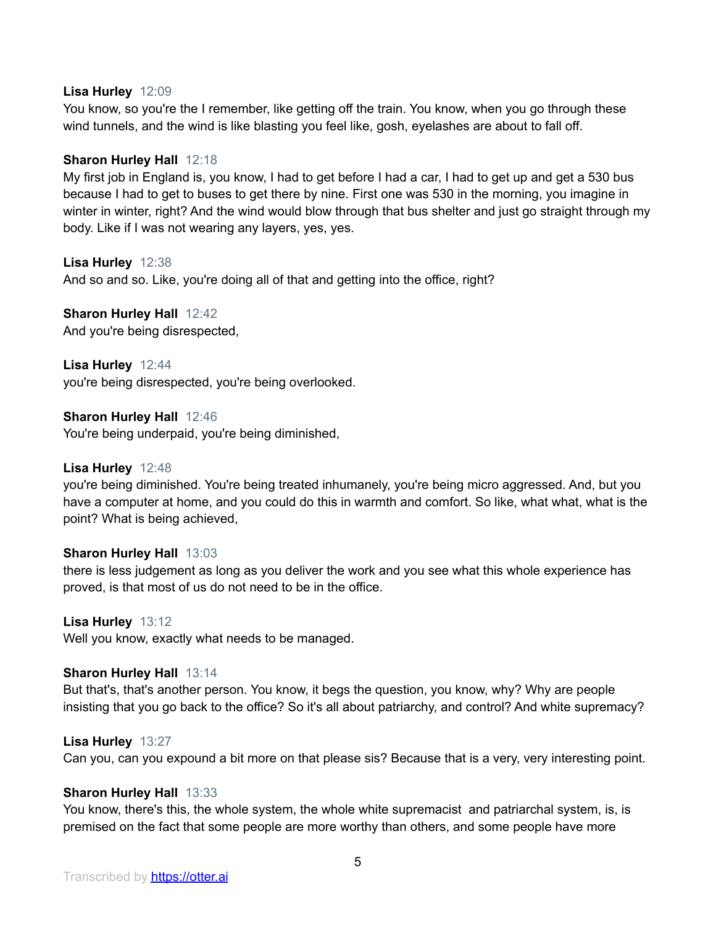#### **Lisa Hurley** 12:09

You know, so you're the I remember, like getting off the train. You know, when you go through these wind tunnels, and the wind is like blasting you feel like, gosh, eyelashes are about to fall off.

## **Sharon Hurley Hall** 12:18

My first job in England is, you know, I had to get before I had a car, I had to get up and get a 530 bus because I had to get to buses to get there by nine. First one was 530 in the morning, you imagine in winter in winter, right? And the wind would blow through that bus shelter and just go straight through my body. Like if I was not wearing any layers, yes, yes.

## **Lisa Hurley** 12:38

And so and so. Like, you're doing all of that and getting into the office, right?

## **Sharon Hurley Hall** 12:42

And you're being disrespected,

**Lisa Hurley** 12:44

you're being disrespected, you're being overlooked.

## **Sharon Hurley Hall** 12:46

You're being underpaid, you're being diminished,

#### **Lisa Hurley** 12:48

you're being diminished. You're being treated inhumanely, you're being micro aggressed. And, but you have a computer at home, and you could do this in warmth and comfort. So like, what what, what is the point? What is being achieved,

## **Sharon Hurley Hall** 13:03

there is less judgement as long as you deliver the work and you see what this whole experience has proved, is that most of us do not need to be in the office.

#### **Lisa Hurley** 13:12

Well you know, exactly what needs to be managed.

#### **Sharon Hurley Hall** 13:14

But that's, that's another person. You know, it begs the question, you know, why? Why are people insisting that you go back to the office? So it's all about patriarchy, and control? And white supremacy?

#### **Lisa Hurley** 13:27

Can you, can you expound a bit more on that please sis? Because that is a very, very interesting point.

#### **Sharon Hurley Hall** 13:33

You know, there's this, the whole system, the whole white supremacist and patriarchal system, is, is premised on the fact that some people are more worthy than others, and some people have more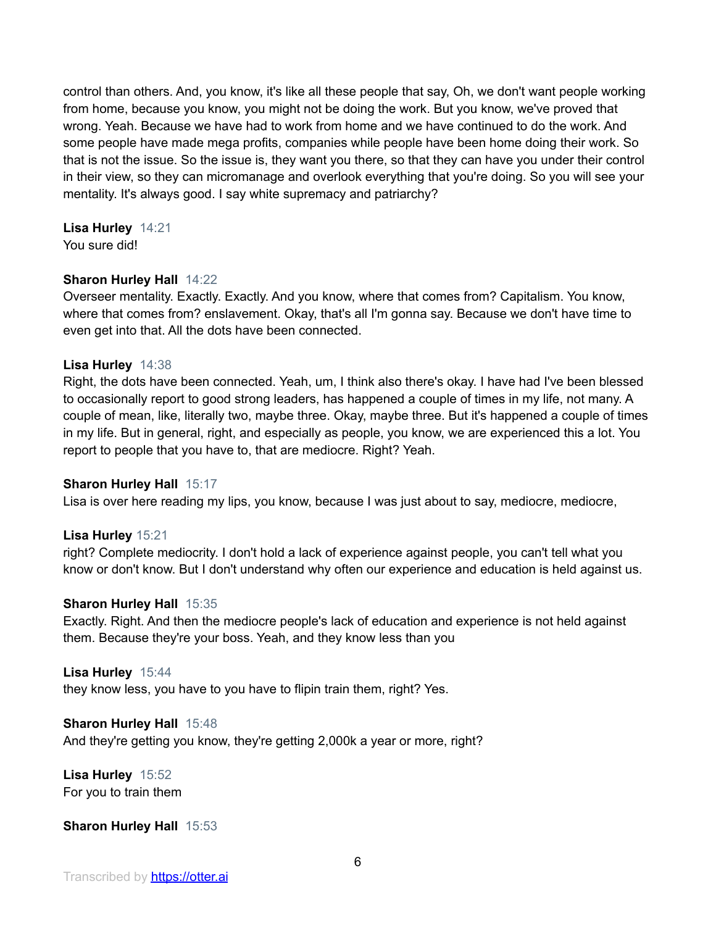control than others. And, you know, it's like all these people that say, Oh, we don't want people working from home, because you know, you might not be doing the work. But you know, we've proved that wrong. Yeah. Because we have had to work from home and we have continued to do the work. And some people have made mega profits, companies while people have been home doing their work. So that is not the issue. So the issue is, they want you there, so that they can have you under their control in their view, so they can micromanage and overlook everything that you're doing. So you will see your mentality. It's always good. I say white supremacy and patriarchy?

## **Lisa Hurley** 14:21

You sure did!

## **Sharon Hurley Hall** 14:22

Overseer mentality. Exactly. Exactly. And you know, where that comes from? Capitalism. You know, where that comes from? enslavement. Okay, that's all I'm gonna say. Because we don't have time to even get into that. All the dots have been connected.

## **Lisa Hurley** 14:38

Right, the dots have been connected. Yeah, um, I think also there's okay. I have had I've been blessed to occasionally report to good strong leaders, has happened a couple of times in my life, not many. A couple of mean, like, literally two, maybe three. Okay, maybe three. But it's happened a couple of times in my life. But in general, right, and especially as people, you know, we are experienced this a lot. You report to people that you have to, that are mediocre. Right? Yeah.

## **Sharon Hurley Hall** 15:17

Lisa is over here reading my lips, you know, because I was just about to say, mediocre, mediocre,

## **Lisa Hurley** 15:21

right? Complete mediocrity. I don't hold a lack of experience against people, you can't tell what you know or don't know. But I don't understand why often our experience and education is held against us.

#### **Sharon Hurley Hall** 15:35

Exactly. Right. And then the mediocre people's lack of education and experience is not held against them. Because they're your boss. Yeah, and they know less than you

#### **Lisa Hurley** 15:44

they know less, you have to you have to flipin train them, right? Yes.

#### **Sharon Hurley Hall** 15:48

And they're getting you know, they're getting 2,000k a year or more, right?

**Lisa Hurley** 15:52 For you to train them

## **Sharon Hurley Hall** 15:53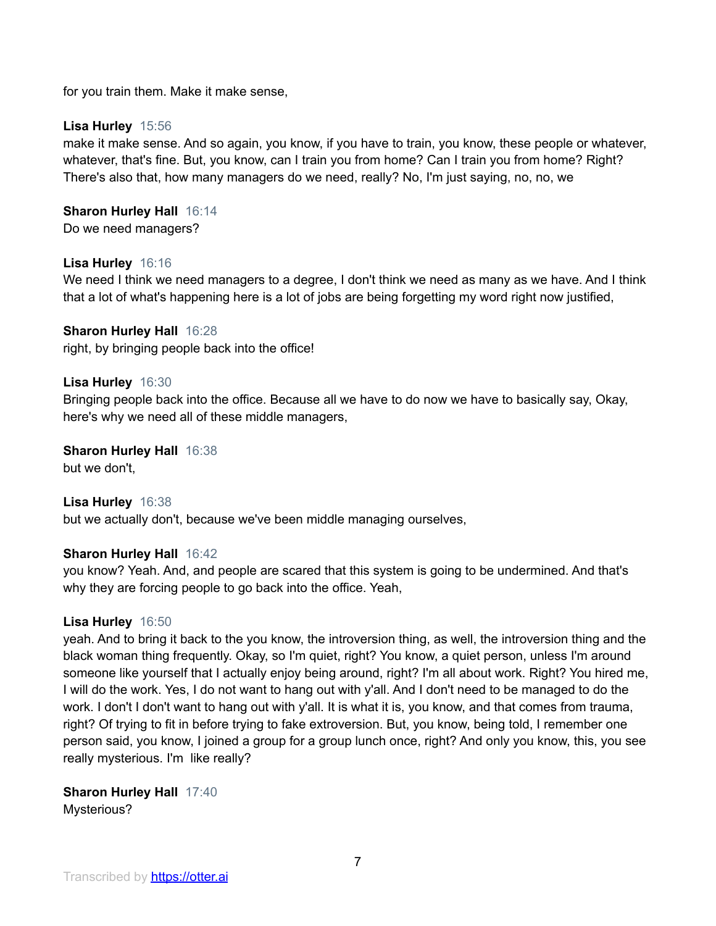for you train them. Make it make sense,

## **Lisa Hurley** 15:56

make it make sense. And so again, you know, if you have to train, you know, these people or whatever, whatever, that's fine. But, you know, can I train you from home? Can I train you from home? Right? There's also that, how many managers do we need, really? No, I'm just saying, no, no, we

## **Sharon Hurley Hall** 16:14

Do we need managers?

## **Lisa Hurley** 16:16

We need I think we need managers to a degree, I don't think we need as many as we have. And I think that a lot of what's happening here is a lot of jobs are being forgetting my word right now justified,

#### **Sharon Hurley Hall** 16:28 right, by bringing people back into the office!

## **Lisa Hurley** 16:30

Bringing people back into the office. Because all we have to do now we have to basically say, Okay, here's why we need all of these middle managers,

**Sharon Hurley Hall** 16:38 but we don't,

## **Lisa Hurley** 16:38

but we actually don't, because we've been middle managing ourselves,

#### **Sharon Hurley Hall** 16:42

you know? Yeah. And, and people are scared that this system is going to be undermined. And that's why they are forcing people to go back into the office. Yeah,

#### **Lisa Hurley** 16:50

yeah. And to bring it back to the you know, the introversion thing, as well, the introversion thing and the black woman thing frequently. Okay, so I'm quiet, right? You know, a quiet person, unless I'm around someone like yourself that I actually enjoy being around, right? I'm all about work. Right? You hired me, I will do the work. Yes, I do not want to hang out with y'all. And I don't need to be managed to do the work. I don't I don't want to hang out with y'all. It is what it is, you know, and that comes from trauma, right? Of trying to fit in before trying to fake extroversion. But, you know, being told, I remember one person said, you know, I joined a group for a group lunch once, right? And only you know, this, you see really mysterious. I'm like really?

**Sharon Hurley Hall** 17:40 Mysterious?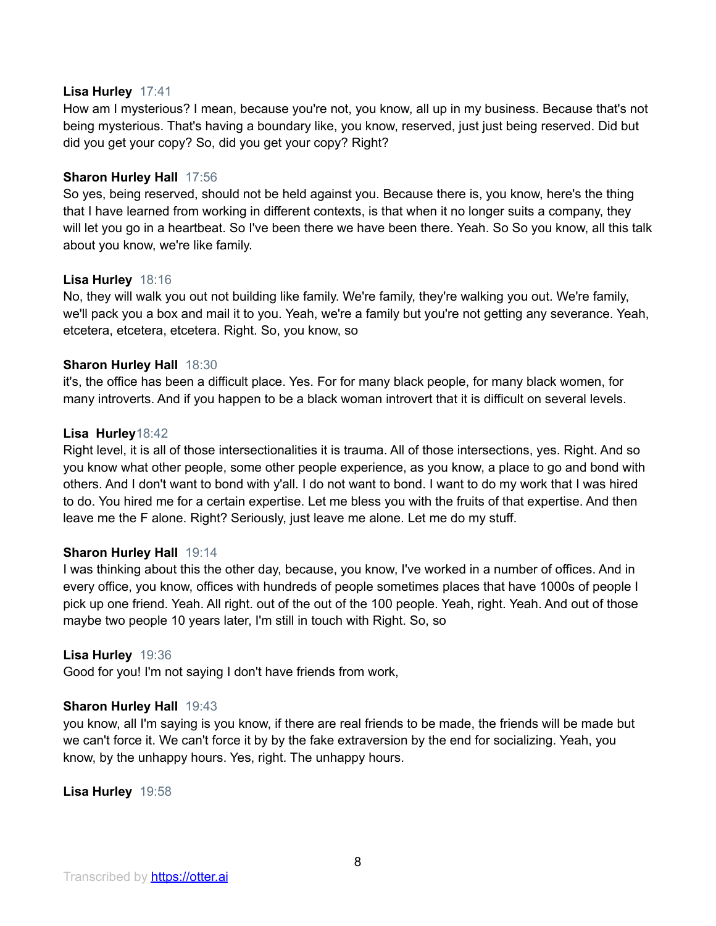## **Lisa Hurley** 17:41

How am I mysterious? I mean, because you're not, you know, all up in my business. Because that's not being mysterious. That's having a boundary like, you know, reserved, just just being reserved. Did but did you get your copy? So, did you get your copy? Right?

## **Sharon Hurley Hall** 17:56

So yes, being reserved, should not be held against you. Because there is, you know, here's the thing that I have learned from working in different contexts, is that when it no longer suits a company, they will let you go in a heartbeat. So I've been there we have been there. Yeah. So So you know, all this talk about you know, we're like family.

## **Lisa Hurley** 18:16

No, they will walk you out not building like family. We're family, they're walking you out. We're family, we'll pack you a box and mail it to you. Yeah, we're a family but you're not getting any severance. Yeah, etcetera, etcetera, etcetera. Right. So, you know, so

## **Sharon Hurley Hall** 18:30

it's, the office has been a difficult place. Yes. For for many black people, for many black women, for many introverts. And if you happen to be a black woman introvert that it is difficult on several levels.

## **Lisa Hurley**18:42

Right level, it is all of those intersectionalities it is trauma. All of those intersections, yes. Right. And so you know what other people, some other people experience, as you know, a place to go and bond with others. And I don't want to bond with y'all. I do not want to bond. I want to do my work that I was hired to do. You hired me for a certain expertise. Let me bless you with the fruits of that expertise. And then leave me the F alone. Right? Seriously, just leave me alone. Let me do my stuff.

## **Sharon Hurley Hall** 19:14

I was thinking about this the other day, because, you know, I've worked in a number of offices. And in every office, you know, offices with hundreds of people sometimes places that have 1000s of people I pick up one friend. Yeah. All right. out of the out of the 100 people. Yeah, right. Yeah. And out of those maybe two people 10 years later, I'm still in touch with Right. So, so

#### **Lisa Hurley** 19:36

Good for you! I'm not saying I don't have friends from work,

#### **Sharon Hurley Hall** 19:43

you know, all I'm saying is you know, if there are real friends to be made, the friends will be made but we can't force it. We can't force it by by the fake extraversion by the end for socializing. Yeah, you know, by the unhappy hours. Yes, right. The unhappy hours.

**Lisa Hurley** 19:58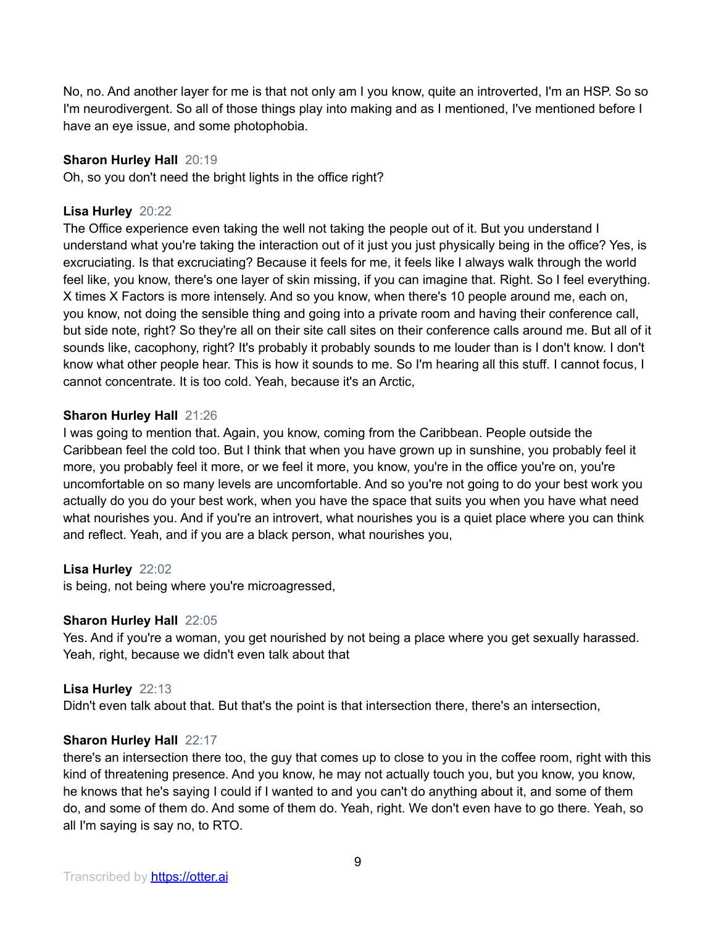No, no. And another layer for me is that not only am I you know, quite an introverted, I'm an HSP. So so I'm neurodivergent. So all of those things play into making and as I mentioned, I've mentioned before I have an eye issue, and some photophobia.

## **Sharon Hurley Hall** 20:19

Oh, so you don't need the bright lights in the office right?

## **Lisa Hurley** 20:22

The Office experience even taking the well not taking the people out of it. But you understand I understand what you're taking the interaction out of it just you just physically being in the office? Yes, is excruciating. Is that excruciating? Because it feels for me, it feels like I always walk through the world feel like, you know, there's one layer of skin missing, if you can imagine that. Right. So I feel everything. X times X Factors is more intensely. And so you know, when there's 10 people around me, each on, you know, not doing the sensible thing and going into a private room and having their conference call, but side note, right? So they're all on their site call sites on their conference calls around me. But all of it sounds like, cacophony, right? It's probably it probably sounds to me louder than is I don't know. I don't know what other people hear. This is how it sounds to me. So I'm hearing all this stuff. I cannot focus, I cannot concentrate. It is too cold. Yeah, because it's an Arctic,

## **Sharon Hurley Hall** 21:26

I was going to mention that. Again, you know, coming from the Caribbean. People outside the Caribbean feel the cold too. But I think that when you have grown up in sunshine, you probably feel it more, you probably feel it more, or we feel it more, you know, you're in the office you're on, you're uncomfortable on so many levels are uncomfortable. And so you're not going to do your best work you actually do you do your best work, when you have the space that suits you when you have what need what nourishes you. And if you're an introvert, what nourishes you is a quiet place where you can think and reflect. Yeah, and if you are a black person, what nourishes you,

## **Lisa Hurley** 22:02

is being, not being where you're microagressed,

## **Sharon Hurley Hall** 22:05

Yes. And if you're a woman, you get nourished by not being a place where you get sexually harassed. Yeah, right, because we didn't even talk about that

## **Lisa Hurley** 22:13

Didn't even talk about that. But that's the point is that intersection there, there's an intersection,

## **Sharon Hurley Hall** 22:17

there's an intersection there too, the guy that comes up to close to you in the coffee room, right with this kind of threatening presence. And you know, he may not actually touch you, but you know, you know, he knows that he's saying I could if I wanted to and you can't do anything about it, and some of them do, and some of them do. And some of them do. Yeah, right. We don't even have to go there. Yeah, so all I'm saying is say no, to RTO.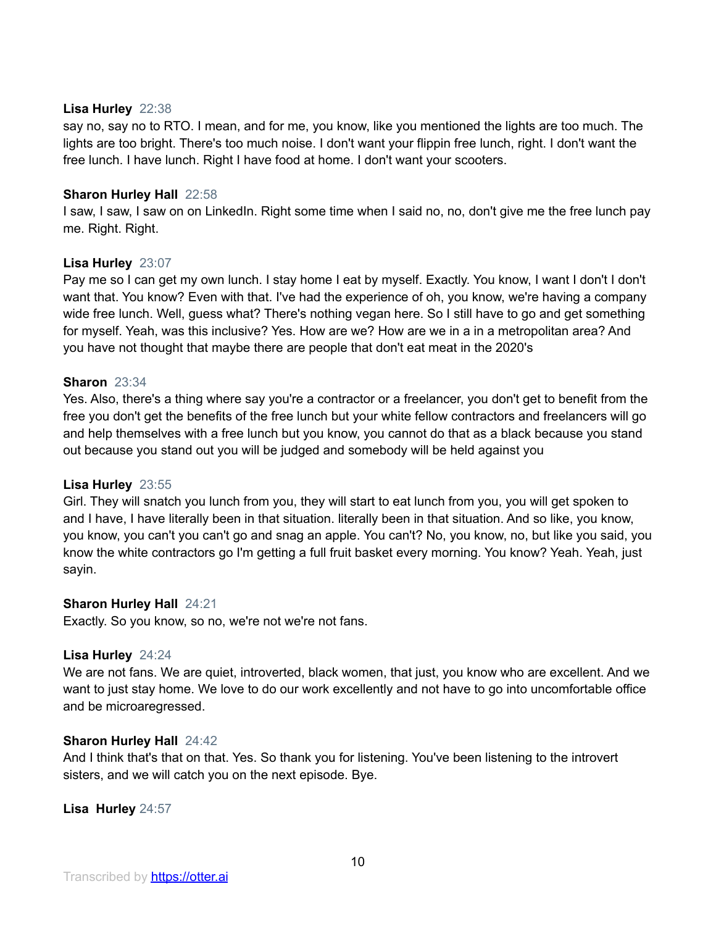## **Lisa Hurley** 22:38

say no, say no to RTO. I mean, and for me, you know, like you mentioned the lights are too much. The lights are too bright. There's too much noise. I don't want your flippin free lunch, right. I don't want the free lunch. I have lunch. Right I have food at home. I don't want your scooters.

## **Sharon Hurley Hall** 22:58

I saw, I saw, I saw on on LinkedIn. Right some time when I said no, no, don't give me the free lunch pay me. Right. Right.

## **Lisa Hurley** 23:07

Pay me so I can get my own lunch. I stay home I eat by myself. Exactly. You know, I want I don't I don't want that. You know? Even with that. I've had the experience of oh, you know, we're having a company wide free lunch. Well, guess what? There's nothing vegan here. So I still have to go and get something for myself. Yeah, was this inclusive? Yes. How are we? How are we in a in a metropolitan area? And you have not thought that maybe there are people that don't eat meat in the 2020's

## **Sharon** 23:34

Yes. Also, there's a thing where say you're a contractor or a freelancer, you don't get to benefit from the free you don't get the benefits of the free lunch but your white fellow contractors and freelancers will go and help themselves with a free lunch but you know, you cannot do that as a black because you stand out because you stand out you will be judged and somebody will be held against you

## **Lisa Hurley** 23:55

Girl. They will snatch you lunch from you, they will start to eat lunch from you, you will get spoken to and I have, I have literally been in that situation. literally been in that situation. And so like, you know, you know, you can't you can't go and snag an apple. You can't? No, you know, no, but like you said, you know the white contractors go I'm getting a full fruit basket every morning. You know? Yeah. Yeah, just sayin.

#### **Sharon Hurley Hall** 24:21

Exactly. So you know, so no, we're not we're not fans.

#### **Lisa Hurley** 24:24

We are not fans. We are quiet, introverted, black women, that just, you know who are excellent. And we want to just stay home. We love to do our work excellently and not have to go into uncomfortable office and be microaregressed.

#### **Sharon Hurley Hall** 24:42

And I think that's that on that. Yes. So thank you for listening. You've been listening to the introvert sisters, and we will catch you on the next episode. Bye.

#### **Lisa Hurley** 24:57